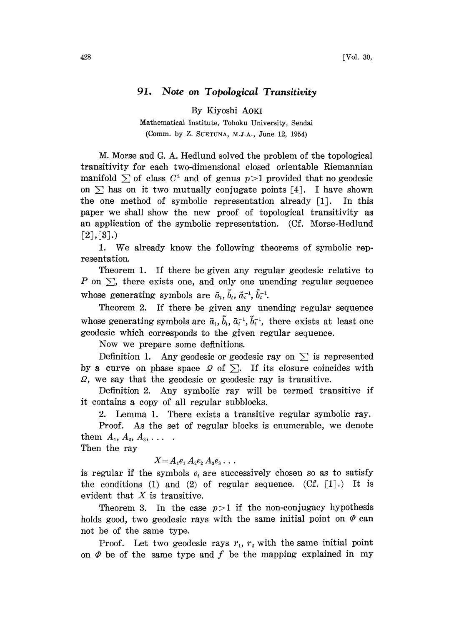## 91. Note on Topological Transitivity

By Kiyoshi AOKI

Mathematical Institute, Tohoku University, Sendai (Comm. by Z. SUETUNA, M.J.A., June 12, 1954)

M. Morse and G. A. Hedlund solved the problem of the topological transitivity for each two-dimensional closed orientable Riemannian manifold  $\sum$  of class  $C^3$  and of genus  $p>1$  provided that no geodesic on  $\Sigma$  has on it two mutually conjugate points [4]. I have shown the one method of symbolic representation already [1]. In this paper we shall show the new proof of topological transitivity as an application of the symbolic representation. (Cf. Morse-Hedlund  $[2], [3].$ 

1. We already know the following theorems of symbolic representation.

Theorem 1. If there be given any regular geodesic relative to P on  $\Sigma$ , there exists one, and only one unending regular sequence whose generating symbols are  $\tilde{a}_i$ ,  $\tilde{b}_i$ ,  $\tilde{a}_i^{-1}$ ,  $\tilde{b}_i^{-1}$ .

Theorem 2. If there be given any unending regular sequence whose generating symbols are  $\tilde{a}_i$ ,  $\tilde{b}_i$ ,  $\tilde{a}_i^{-1}$ ,  $\tilde{b}_i^{-1}$ , there exists at least one se generating symbols are  $\tilde{a}_i$ ,  $b_i$ ,  $\tilde{a}_i^{-1}$ ,  $b_i^{-1}$ , there exists at least one esic which corresponds to the given regular sequence.<br>Now we prepare some definitions.<br>Definition 1. Any geodesic or geodesic ray geodesic which corresponds to the given regular sequence.

Now we prepare some definitions.

by a curve on phase space  $\Omega$  of  $\Sigma$ . If its closure coincides with 2, we say that the geodesic or geodesic ray is transitive.

Definition 2. Any symbolic ray will be termed transitive if it contains a copy of all regular subblocks.

2. Lemma 1. There exists a transitive regular symbolic ray. Proof. As the set of regular blocks is enumerable, we denote them  $A_1, A_2, A_3, \ldots$ .

Then the ray

 $X\!\!=\!\pmb{A}_1\pmb{e}_1\,\pmb{A}_2\pmb{e}_2\,\pmb{A}_3\pmb{e}_3\ldots$ 

is regular if the symbols  $e_i$  are successively chosen so as to satisfy the conditions (1) and (2) of regular sequence.  $(Cf, [1],)$  It is evident that  $X$  is transitive.

Theorem 3. In the case  $p>1$  if the non-conjugacy hypothesis holds good, two geodesic rays with the same initial point on  $\varPhi$  can not be of the same type.

Proof. Let two geodesic rays  $r_1$ ,  $r_2$  with the same initial point on  $\varPhi$  be of the same type and f be the mapping explained in my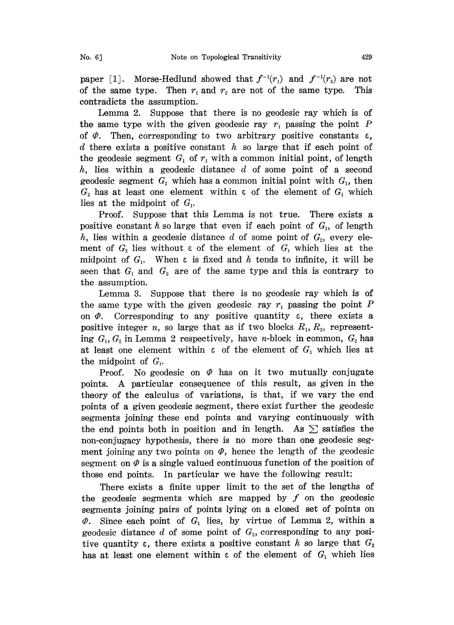paper [1]. Morse-Hedlund showed that  $f^{-1}(r_1)$  and  $f^{-1}(r_2)$  are not of the same type. Then  $r_1$  and  $r_2$  are not of the same type. This contradicts the assumption.

Lemma 2. Suppose that there is no geodesic ray which is of the same type with the given geodesic ray  $r_1$  passing the point  $P$ of  $\varPhi$ . Then, corresponding to two arbitrary positive constants  $\varepsilon$ , d there exists a positive constant h so large that if each point of the geodesic segment  $G_1$  of  $r_1$  with a common initial point, of length  $h$ , lies within a geodesic distance  $d$  of some point of a second geodesic segment  $G_2$  which has a common initial point with  $G_1$ , then  $G_2$  has at least one element within  $\varepsilon$  of the element of  $G_1$  which lies at the midpoint of  $G_i$ .

Proof. Suppose that this Lemma is not true. There exists a positive constant h so large that even if each point of  $G<sub>1</sub>$ , of length h, lies within a geodesic distance d of some point of  $G<sub>2</sub>$ , every element of  $G_2$  lies without  $\varepsilon$  of the element of  $G_1$  which lies at the midpoint of  $G_i$ . When  $\varepsilon$  is fixed and  $h$  tends to infinite, it will be seen that  $G_1$  and  $G_2$  are of the same type and this is contrary to the assumption.

Lemma 3. Suppose that there is no geodesic ray which is of the same type with the given geodesic ray  $r_1$  passing the point P on  $\varPhi$ . Corresponding to any positive quantity  $\varepsilon$ , there exists a positive integer *n*, so large that as if two blocks  $R_1, R_2$ , representing  $G_1, G_2$  in Lemma 2 respectively, have *n*-block in common,  $G_2$  has at least one element within  $\varepsilon$  of the element of  $G_1$  which lies at the midpoint of  $G_i$ .

Proof. No geodesic on  $\varPhi$  has on it two mutually conjugate points. A particular consequence of this result, as given in the theory of the calculus of variations, is that, if we vary the end points of a given geodesic segment, there exist further the geodesic segments joining these end points and varying continuously with the end points both in position and in length. As  $\Sigma$  satisfies the non-conjugacy hypothesis, there is no more than one geodesic segment joining any two points on  $\varPhi$ , hence the length of the geodesic segment on  $\varphi$  is a single valued continuous function of the position of those end points. In particular we have the following result:

There exists a finite upper limit to the set of the lengths of the geodesic segments which are mapped by  $f$  on the geodesic segments joining pairs of points lying on a closed set of points on  $\varPhi$ . Since each point of  $G_1$  lies, by virtue of Lemma 2, within a geodesic distance d of some point of  $G<sub>2</sub>$ , corresponding to any positive quantity  $\varepsilon$ , there exists a positive constant h so large that  $G_2$ has at least one element within  $\varepsilon$  of the element of  $G_1$  which lies